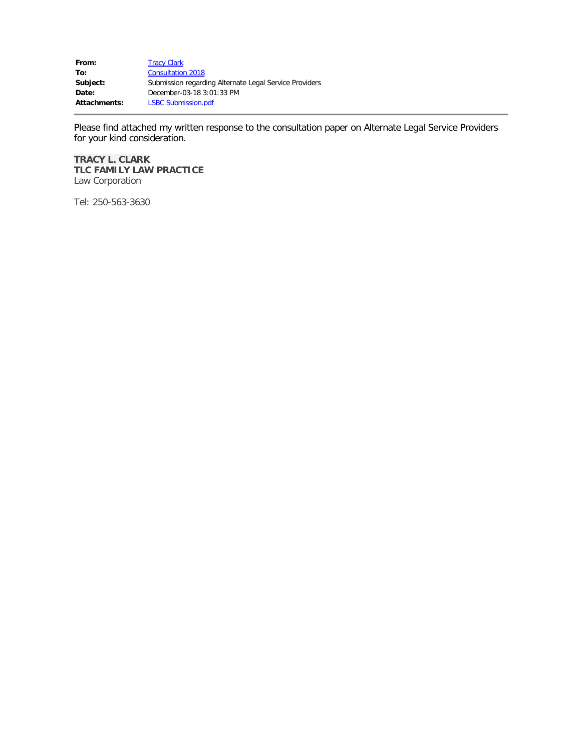| From:               | <b>Tracy Clark</b>                                     |
|---------------------|--------------------------------------------------------|
| To:                 | <b>Consultation 2018</b>                               |
| Subject:            | Submission regarding Alternate Legal Service Providers |
| Date:               | December-03-18 3:01:33 PM                              |
| <b>Attachments:</b> | <b>LSBC Submission.pdf</b>                             |

Please find attached my written response to the consultation paper on Alternate Legal Service Providers for your kind consideration.

#### **TRACY L. CLARK TLC FAMILY LAW PRACTICE** Law Corporation

Tel: 250-563-3630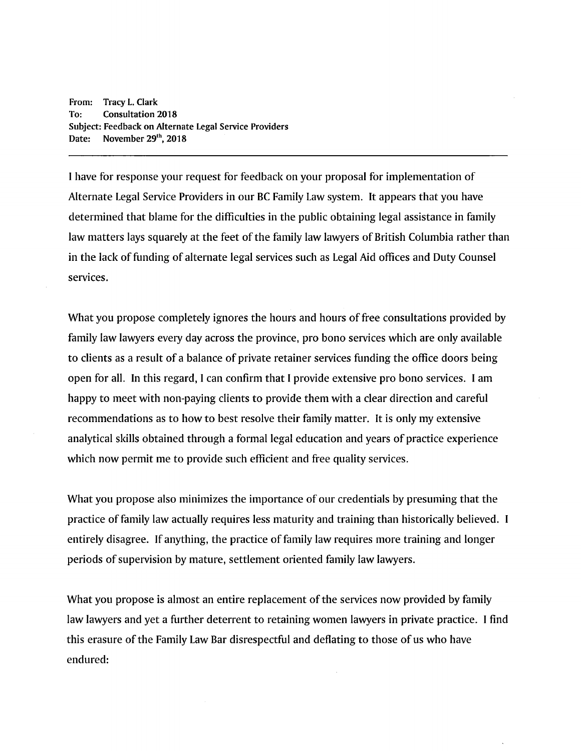From: Tracy L. Clark To: **Consultation 2018** Subject: Feedback on Alternate Legal Service Providers Date: November 29<sup>th</sup>, 2018

I have for response your request for feedback on your proposal for implementation of Alternate Legal Service Providers in our BC Family Law system. It appears that you have determined that blame for the difficulties in the public obtaining legal assistance in family law matters lays squarely at the feet of the family law lawyers of British Columbia rather than in the lack of funding of alternate legal services such as Legal Aid offices and Duty Counsel services.

What you propose completely ignores the hours and hours of free consultations provided by family law lawyers every day across the province, pro bono services which are only available to clients as a result of a balance of private retainer services funding the office doors being open for all. In this regard, I can confirm that I provide extensive pro bono services. I am happy to meet with non-paying clients to provide them with a clear direction and careful recommendations as to how to best resolve their family matter. It is only my extensive analytical skills obtained through a formal legal education and years of practice experience which now permit me to provide such efficient and free quality services.

What you propose also minimizes the importance of our credentials by presuming that the practice of family law actually requires less maturity and training than historically believed. I entirely disagree. If anything, the practice of family law requires more training and longer periods of supervision by mature, settlement oriented family law lawyers.

What you propose is almost an entire replacement of the services now provided by family law lawyers and yet a further deterrent to retaining women lawyers in private practice. I find this erasure of the Family Law Bar disrespectful and deflating to those of us who have endured: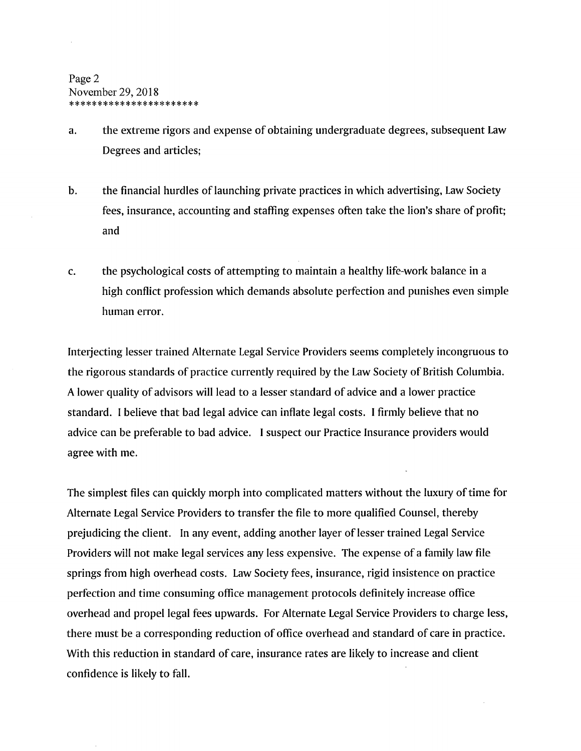- the extreme rigors and expense of obtaining undergraduate degrees, subsequent Law  $a<sub>r</sub>$ Degrees and articles:
- $\mathbf b$ . the financial hurdles of launching private practices in which advertising, Law Society fees, insurance, accounting and staffing expenses often take the lion's share of profit; and
- $\mathbf{C}$ . the psychological costs of attempting to maintain a healthy life-work balance in a high conflict profession which demands absolute perfection and punishes even simple human error.

Interjecting lesser trained Alternate Legal Service Providers seems completely incongruous to the rigorous standards of practice currently required by the Law Society of British Columbia. A lower quality of advisors will lead to a lesser standard of advice and a lower practice standard. I believe that bad legal advice can inflate legal costs. I firmly believe that no advice can be preferable to bad advice. I suspect our Practice Insurance providers would agree with me.

The simplest files can quickly morph into complicated matters without the luxury of time for Alternate Legal Service Providers to transfer the file to more qualified Counsel, thereby prejudicing the client. In any event, adding another layer of lesser trained Legal Service Providers will not make legal services any less expensive. The expense of a family law file springs from high overhead costs. Law Society fees, insurance, rigid insistence on practice perfection and time consuming office management protocols definitely increase office overhead and propel legal fees upwards. For Alternate Legal Service Providers to charge less, there must be a corresponding reduction of office overhead and standard of care in practice. With this reduction in standard of care, insurance rates are likely to increase and client confidence is likely to fall.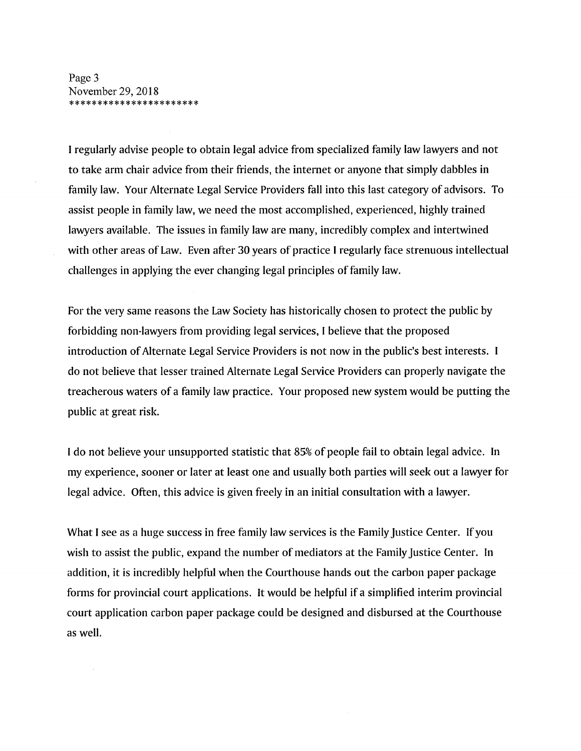Page 3 November 29, 2018 \*\*\*\*\*\*\*\*\*\*\*\*\*\*\*\*\*\*\*\*\*\*\*

I regularly advise people to obtain legal advice from specialized family law lawyers and not to take arm chair advice from their friends, the internet or anyone that simply dabbles in family law. Your Alternate Legal Service Providers fall into this last category of advisors. To assist people in family law, we need the most accomplished, experienced, highly trained lawyers available. The issues in family law are many, incredibly complex and intertwined with other areas of Law. Even after 30 years of practice I regularly face strenuous intellectual challenges in applying the ever changing legal principles of family law.

For the very same reasons the Law Society has historically chosen to protect the public by forbidding non-lawyers from providing legal services, I believe that the proposed introduction of Alternate Legal Service Providers is not now in the public's best interests. I do not believe that lesser trained Alternate Legal Service Providers can properly navigate the treacherous waters of a family law practice. Your proposed new system would be putting the public at great risk.

I do not believe your unsupported statistic that 85% of people fail to obtain legal advice. In my experience, sooner or later at least one and usually both parties will seek out a lawyer for legal advice. Often, this advice is given freely in an initial consultation with a lawyer.

What I see as a huge success in free family law services is the Family Justice Center. If you wish to assist the public, expand the number of mediators at the Family Justice Center. In addition, it is incredibly helpful when the Courthouse hands out the carbon paper package forms for provincial court applications. It would be helpful if a simplified interim provincial court application carbon paper package could be designed and disbursed at the Courthouse as well.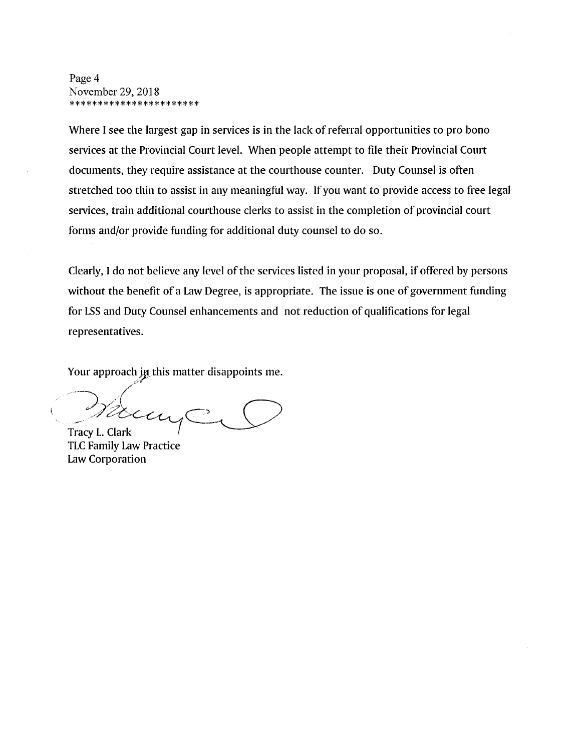Page 4 November 29, 2018 \*\*\*\*\*\*\*\*\*\*\*\*\*\*\*\*\*\*\*\*\*\*\*

Where I see the largest gap in services is in the lack of referral opportunities to pro bono services at the Provincial Court level. When people attempt to file their Provincial Court documents, they require assistance at the courthouse counter. Duty Counsel is often stretched too thin to assist in any meaningful way. If you want to provide access to free legal services, train additional courthouse clerks to assist in the completion of provincial court forms and/or provide funding for additional duty counsel to do so.

Clearly, I do not believe any level of the services listed in your proposal, if offered by persons without the benefit of a Law Degree, is appropriate. The issue is one of government funding for LSS and Duty Counsel enhancements and not reduction of qualifications for legal representatives.

Your approach in this matter disappoints me.

car Tracy L. Clark

**TLC Family Law Practice** Law Corporation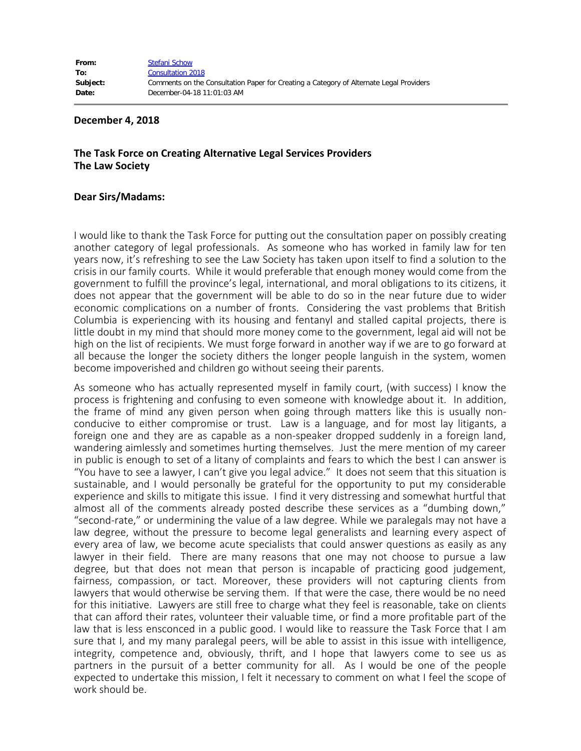#### **December 4, 2018**

#### **The Task Force on Creating Alternative Legal Services Providers The Law Society**

#### **Dear Sirs/Madams:**

I would like to thank the Task Force for putting out the consultation paper on possibly creating another category of legal professionals. As someone who has worked in family law for ten years now, it's refreshing to see the Law Society has taken upon itself to find a solution to the crisis in our family courts. While it would preferable that enough money would come from the government to fulfill the province's legal, international, and moral obligations to its citizens, it does not appear that the government will be able to do so in the near future due to wider economic complications on a number of fronts. Considering the vast problems that British Columbia is experiencing with its housing and fentanyl and stalled capital projects, there is little doubt in my mind that should more money come to the government, legal aid will not be high on the list of recipients. We must forge forward in another way if we are to go forward at all because the longer the society dithers the longer people languish in the system, women become impoverished and children go without seeing their parents.

As someone who has actually represented myself in family court, (with success) I know the process is frightening and confusing to even someone with knowledge about it. In addition, the frame of mind any given person when going through matters like this is usually nonconducive to either compromise or trust. Law is a language, and for most lay litigants, a foreign one and they are as capable as a non-speaker dropped suddenly in a foreign land, wandering aimlessly and sometimes hurting themselves. Just the mere mention of my career in public is enough to set of a litany of complaints and fears to which the best I can answer is "You have to see a lawyer, I can't give you legal advice." It does not seem that this situation is sustainable, and I would personally be grateful for the opportunity to put my considerable experience and skills to mitigate this issue. I find it very distressing and somewhat hurtful that almost all of the comments already posted describe these services as a "dumbing down," "second-rate," or undermining the value of a law degree. While we paralegals may not have a law degree, without the pressure to become legal generalists and learning every aspect of every area of law, we become acute specialists that could answer questions as easily as any lawyer in their field. There are many reasons that one may not choose to pursue a law degree, but that does not mean that person is incapable of practicing good judgement, fairness, compassion, or tact. Moreover, these providers will not capturing clients from lawyers that would otherwise be serving them. If that were the case, there would be no need for this initiative. Lawyers are still free to charge what they feel is reasonable, take on clients that can afford their rates, volunteer their valuable time, or find a more profitable part of the law that is less ensconced in a public good. I would like to reassure the Task Force that I am sure that I, and my many paralegal peers, will be able to assist in this issue with intelligence, integrity, competence and, obviously, thrift, and I hope that lawyers come to see us as partners in the pursuit of a better community for all. As I would be one of the people expected to undertake this mission, I felt it necessary to comment on what I feel the scope of work should be.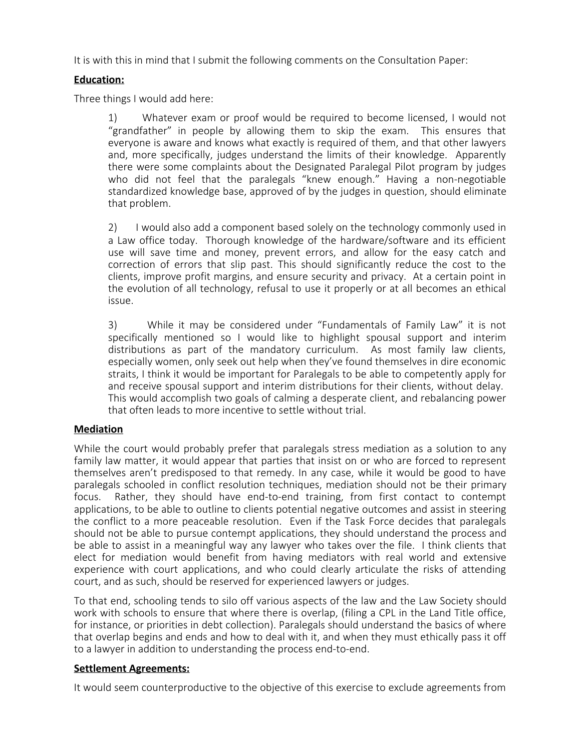It is with this in mind that I submit the following comments on the Consultation Paper:

## **Education:**

Three things I would add here:

1) Whatever exam or proof would be required to become licensed, I would not "grandfather" in people by allowing them to skip the exam. This ensures that everyone is aware and knows what exactly is required of them, and that other lawyers and, more specifically, judges understand the limits of their knowledge. Apparently there were some complaints about the Designated Paralegal Pilot program by judges who did not feel that the paralegals "knew enough." Having a non-negotiable standardized knowledge base, approved of by the judges in question, should eliminate that problem.

2) I would also add a component based solely on the technology commonly used in a Law office today. Thorough knowledge of the hardware/software and its efficient use will save time and money, prevent errors, and allow for the easy catch and correction of errors that slip past. This should significantly reduce the cost to the clients, improve profit margins, and ensure security and privacy. At a certain point in the evolution of all technology, refusal to use it properly or at all becomes an ethical issue.

3) While it may be considered under "Fundamentals of Family Law" it is not specifically mentioned so I would like to highlight spousal support and interim distributions as part of the mandatory curriculum. As most family law clients, especially women, only seek out help when they've found themselves in dire economic straits, I think it would be important for Paralegals to be able to competently apply for and receive spousal support and interim distributions for their clients, without delay. This would accomplish two goals of calming a desperate client, and rebalancing power that often leads to more incentive to settle without trial.

#### **Mediation**

While the court would probably prefer that paralegals stress mediation as a solution to any family law matter, it would appear that parties that insist on or who are forced to represent themselves aren't predisposed to that remedy. In any case, while it would be good to have paralegals schooled in conflict resolution techniques, mediation should not be their primary focus. Rather, they should have end-to-end training, from first contact to contempt applications, to be able to outline to clients potential negative outcomes and assist in steering the conflict to a more peaceable resolution. Even if the Task Force decides that paralegals should not be able to pursue contempt applications, they should understand the process and be able to assist in a meaningful way any lawyer who takes over the file. I think clients that elect for mediation would benefit from having mediators with real world and extensive experience with court applications, and who could clearly articulate the risks of attending court, and as such, should be reserved for experienced lawyers or judges.

To that end, schooling tends to silo off various aspects of the law and the Law Society should work with schools to ensure that where there is overlap, (filing a CPL in the Land Title office, for instance, or priorities in debt collection). Paralegals should understand the basics of where that overlap begins and ends and how to deal with it, and when they must ethically pass it off to a lawyer in addition to understanding the process end-to-end.

#### **Settlement Agreements:**

It would seem counterproductive to the objective of this exercise to exclude agreements from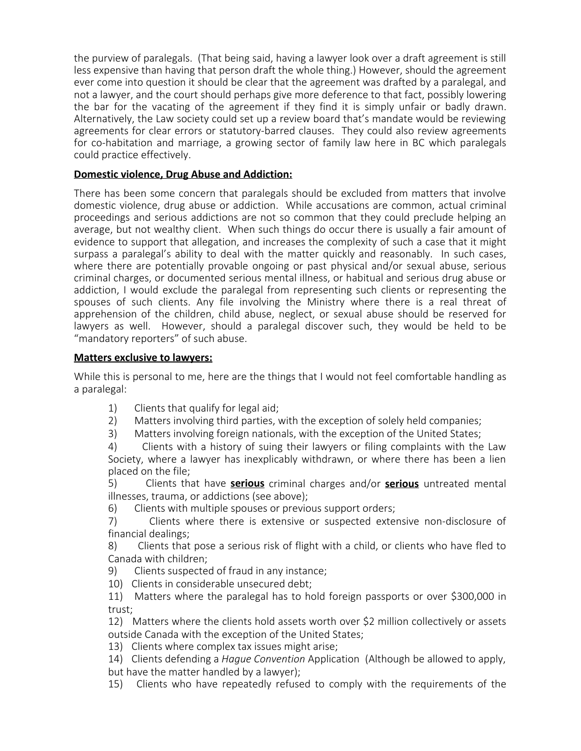the purview of paralegals. (That being said, having a lawyer look over a draft agreement is still less expensive than having that person draft the whole thing.) However, should the agreement ever come into question it should be clear that the agreement was drafted by a paralegal, and not a lawyer, and the court should perhaps give more deference to that fact, possibly lowering the bar for the vacating of the agreement if they find it is simply unfair or badly drawn. Alternatively, the Law society could set up a review board that's mandate would be reviewing agreements for clear errors or statutory-barred clauses. They could also review agreements for co-habitation and marriage, a growing sector of family law here in BC which paralegals could practice effectively.

## **Domestic violence, Drug Abuse and Addiction:**

There has been some concern that paralegals should be excluded from matters that involve domestic violence, drug abuse or addiction. While accusations are common, actual criminal proceedings and serious addictions are not so common that they could preclude helping an average, but not wealthy client. When such things do occur there is usually a fair amount of evidence to support that allegation, and increases the complexity of such a case that it might surpass a paralegal's ability to deal with the matter quickly and reasonably. In such cases, where there are potentially provable ongoing or past physical and/or sexual abuse, serious criminal charges, or documented serious mental illness, or habitual and serious drug abuse or addiction, I would exclude the paralegal from representing such clients or representing the spouses of such clients. Any file involving the Ministry where there is a real threat of apprehension of the children, child abuse, neglect, or sexual abuse should be reserved for lawyers as well. However, should a paralegal discover such, they would be held to be "mandatory reporters" of such abuse.

### **Matters exclusive to lawyers:**

While this is personal to me, here are the things that I would not feel comfortable handling as a paralegal:

- 1) Clients that qualify for legal aid;
- 2) Matters involving third parties, with the exception of solely held companies;
- 3) Matters involving foreign nationals, with the exception of the United States;
- 4) Clients with a history of suing their lawyers or filing complaints with the Law Society, where a lawyer has inexplicably withdrawn, or where there has been a lien placed on the file;
- 5) Clients that have **serious** criminal charges and/or **serious** untreated mental illnesses, trauma, or addictions (see above);
- 6) Clients with multiple spouses or previous support orders;
- 7) Clients where there is extensive or suspected extensive non-disclosure of financial dealings;
- 8) Clients that pose a serious risk of flight with a child, or clients who have fled to Canada with children;
- 9) Clients suspected of fraud in any instance;
- 10) Clients in considerable unsecured debt;
- 11) Matters where the paralegal has to hold foreign passports or over \$300,000 in trust;
- 12) Matters where the clients hold assets worth over \$2 million collectively or assets outside Canada with the exception of the United States;
- 13) Clients where complex tax issues might arise;
- 14) Clients defending a *Hague Convention* Application (Although be allowed to apply, but have the matter handled by a lawyer);
- 15) Clients who have repeatedly refused to comply with the requirements of the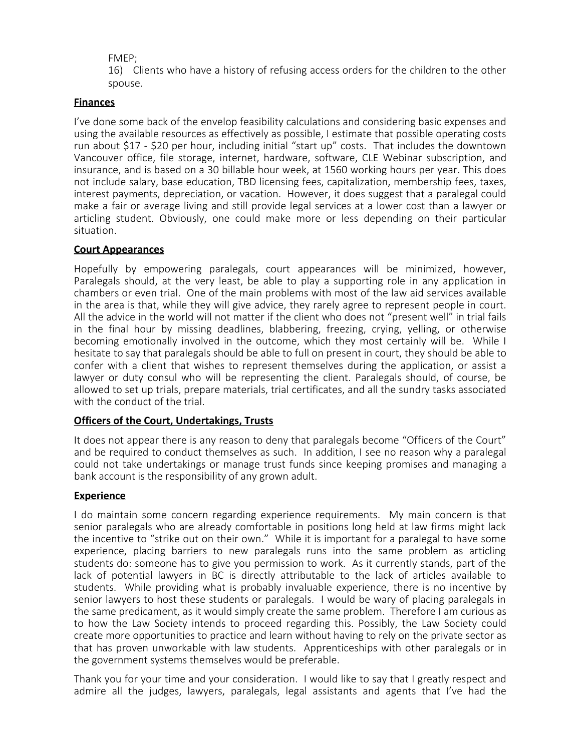FMEP;

16) Clients who have a history of refusing access orders for the children to the other spouse.

## **Finances**

I've done some back of the envelop feasibility calculations and considering basic expenses and using the available resources as effectively as possible, I estimate that possible operating costs run about \$17 - \$20 per hour, including initial "start up" costs. That includes the downtown Vancouver office, file storage, internet, hardware, software, CLE Webinar subscription, and insurance, and is based on a 30 billable hour week, at 1560 working hours per year. This does not include salary, base education, TBD licensing fees, capitalization, membership fees, taxes, interest payments, depreciation, or vacation. However, it does suggest that a paralegal could make a fair or average living and still provide legal services at a lower cost than a lawyer or articling student. Obviously, one could make more or less depending on their particular situation.

#### **Court Appearances**

Hopefully by empowering paralegals, court appearances will be minimized, however, Paralegals should, at the very least, be able to play a supporting role in any application in chambers or even trial. One of the main problems with most of the law aid services available in the area is that, while they will give advice, they rarely agree to represent people in court. All the advice in the world will not matter if the client who does not "present well" in trial fails in the final hour by missing deadlines, blabbering, freezing, crying, yelling, or otherwise becoming emotionally involved in the outcome, which they most certainly will be. While I hesitate to say that paralegals should be able to full on present in court, they should be able to confer with a client that wishes to represent themselves during the application, or assist a lawyer or duty consul who will be representing the client. Paralegals should, of course, be allowed to set up trials, prepare materials, trial certificates, and all the sundry tasks associated with the conduct of the trial.

#### **Officers of the Court, Undertakings, Trusts**

It does not appear there is any reason to deny that paralegals become "Officers of the Court" and be required to conduct themselves as such. In addition, I see no reason why a paralegal could not take undertakings or manage trust funds since keeping promises and managing a bank account is the responsibility of any grown adult.

## **Experience**

I do maintain some concern regarding experience requirements. My main concern is that senior paralegals who are already comfortable in positions long held at law firms might lack the incentive to "strike out on their own." While it is important for a paralegal to have some experience, placing barriers to new paralegals runs into the same problem as articling students do: someone has to give you permission to work. As it currently stands, part of the lack of potential lawyers in BC is directly attributable to the lack of articles available to students. While providing what is probably invaluable experience, there is no incentive by senior lawyers to host these students or paralegals. I would be wary of placing paralegals in the same predicament, as it would simply create the same problem. Therefore I am curious as to how the Law Society intends to proceed regarding this. Possibly, the Law Society could create more opportunities to practice and learn without having to rely on the private sector as that has proven unworkable with law students. Apprenticeships with other paralegals or in the government systems themselves would be preferable.

Thank you for your time and your consideration. I would like to say that I greatly respect and admire all the judges, lawyers, paralegals, legal assistants and agents that I've had the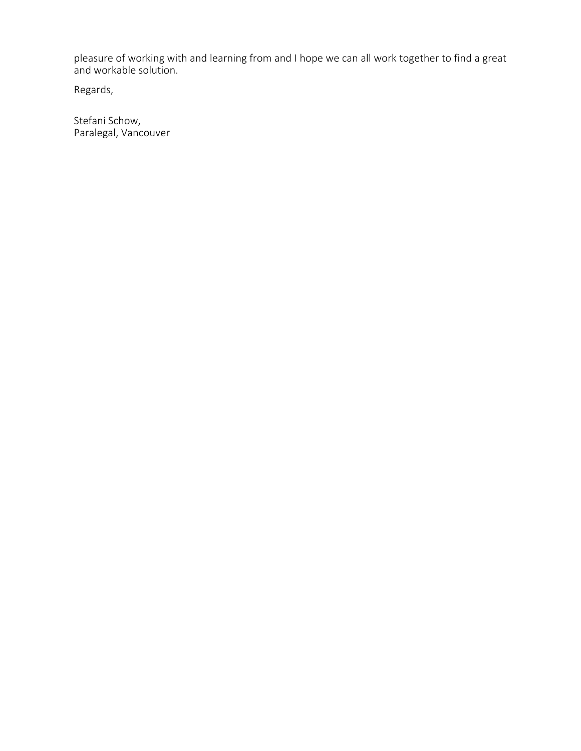pleasure of working with and learning from and I hope we can all work together to find a great and workable solution.

Regards,

Stefani Schow, Paralegal, Vancouver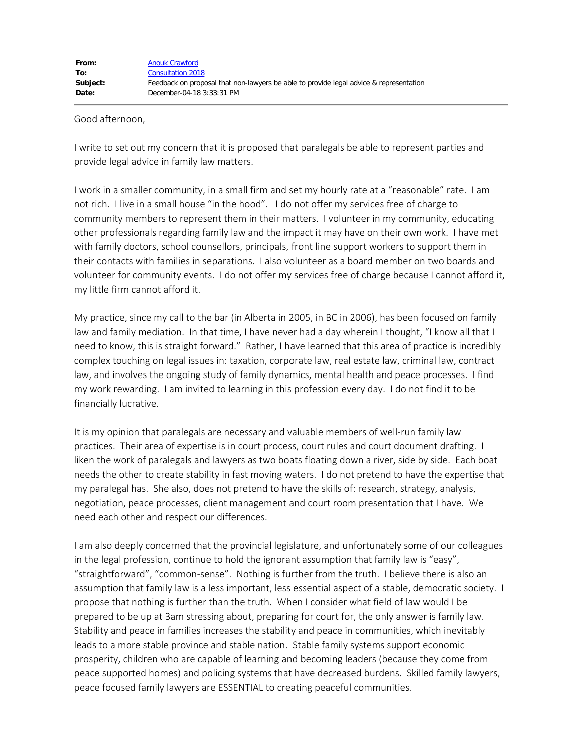#### Good afternoon,

I write to set out my concern that it is proposed that paralegals be able to represent parties and provide legal advice in family law matters.

I work in a smaller community, in a small firm and set my hourly rate at a "reasonable" rate. I am not rich. I live in a small house "in the hood". I do not offer my services free of charge to community members to represent them in their matters. I volunteer in my community, educating other professionals regarding family law and the impact it may have on their own work. I have met with family doctors, school counsellors, principals, front line support workers to support them in their contacts with families in separations. I also volunteer as a board member on two boards and volunteer for community events. I do not offer my services free of charge because I cannot afford it, my little firm cannot afford it.

My practice, since my call to the bar (in Alberta in 2005, in BC in 2006), has been focused on family law and family mediation. In that time, I have never had a day wherein I thought, "I know all that I need to know, this is straight forward." Rather, I have learned that this area of practice is incredibly complex touching on legal issues in: taxation, corporate law, real estate law, criminal law, contract law, and involves the ongoing study of family dynamics, mental health and peace processes. I find my work rewarding. I am invited to learning in this profession every day. I do not find it to be financially lucrative.

It is my opinion that paralegals are necessary and valuable members of well-run family law practices. Their area of expertise is in court process, court rules and court document drafting. I liken the work of paralegals and lawyers as two boats floating down a river, side by side. Each boat needs the other to create stability in fast moving waters. I do not pretend to have the expertise that my paralegal has. She also, does not pretend to have the skills of: research, strategy, analysis, negotiation, peace processes, client management and court room presentation that I have. We need each other and respect our differences.

I am also deeply concerned that the provincial legislature, and unfortunately some of our colleagues in the legal profession, continue to hold the ignorant assumption that family law is "easy", "straightforward", "common-sense". Nothing is further from the truth. I believe there is also an assumption that family law is a less important, less essential aspect of a stable, democratic society. I propose that nothing is further than the truth. When I consider what field of law would I be prepared to be up at 3am stressing about, preparing for court for, the only answer is family law. Stability and peace in families increases the stability and peace in communities, which inevitably leads to a more stable province and stable nation. Stable family systems support economic prosperity, children who are capable of learning and becoming leaders (because they come from peace supported homes) and policing systems that have decreased burdens. Skilled family lawyers, peace focused family lawyers are ESSENTIAL to creating peaceful communities.